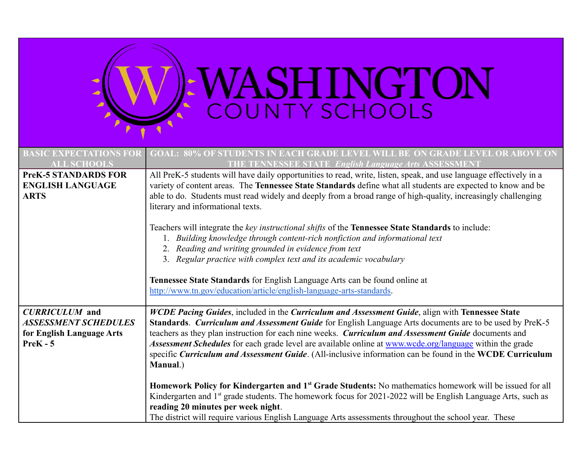| SHINGTON<br>NTY SCHOOLS                                                                         |                                                                                                                                                                                                                                                                                                                                                                                                                                                                                                                                                                                                                                                                                                                                                                                                                                                                                                                                                          |  |  |  |
|-------------------------------------------------------------------------------------------------|----------------------------------------------------------------------------------------------------------------------------------------------------------------------------------------------------------------------------------------------------------------------------------------------------------------------------------------------------------------------------------------------------------------------------------------------------------------------------------------------------------------------------------------------------------------------------------------------------------------------------------------------------------------------------------------------------------------------------------------------------------------------------------------------------------------------------------------------------------------------------------------------------------------------------------------------------------|--|--|--|
| <b>BASIC EXPECTATIONS FO</b><br><b>ALL SCHOOLS</b>                                              | <b>GOAL: 80% OF STUDENTS IN EACH GRADE LEVEL WILL BE ON GRADE LEVEL OR ABOVE ON</b><br><b>TENNESSEE STATE English Language Arts ASSESSMENT</b>                                                                                                                                                                                                                                                                                                                                                                                                                                                                                                                                                                                                                                                                                                                                                                                                           |  |  |  |
| <b>PreK-5 STANDARDS FOR</b><br><b>ENGLISH LANGUAGE</b><br><b>ARTS</b>                           | All PreK-5 students will have daily opportunities to read, write, listen, speak, and use language effectively in a<br>variety of content areas. The Tennessee State Standards define what all students are expected to know and be<br>able to do. Students must read widely and deeply from a broad range of high-quality, increasingly challenging<br>literary and informational texts.<br>Teachers will integrate the key instructional shifts of the Tennessee State Standards to include:<br>1. Building knowledge through content-rich nonfiction and informational text<br>2. Reading and writing grounded in evidence from text<br>3. Regular practice with complex text and its academic vocabulary<br>Tennessee State Standards for English Language Arts can be found online at<br>http://www.tn.gov/education/article/english-language-arts-standards.                                                                                        |  |  |  |
| <b>CURRICULUM</b> and<br><b>ASSESSMENT SCHEDULES</b><br>for English Language Arts<br>$PreK - 5$ | WCDE Pacing Guides, included in the Curriculum and Assessment Guide, align with Tennessee State<br>Standards. Curriculum and Assessment Guide for English Language Arts documents are to be used by PreK-5<br>teachers as they plan instruction for each nine weeks. Curriculum and Assessment Guide documents and<br>Assessment Schedules for each grade level are available online at www.wcde.org/language within the grade<br>specific Curriculum and Assessment Guide. (All-inclusive information can be found in the WCDE Curriculum<br>Manual.)<br>Homework Policy for Kindergarten and 1 <sup>st</sup> Grade Students: No mathematics homework will be issued for all<br>Kindergarten and 1 <sup>st</sup> grade students. The homework focus for 2021-2022 will be English Language Arts, such as<br>reading 20 minutes per week night.<br>The district will require various English Language Arts assessments throughout the school year. These |  |  |  |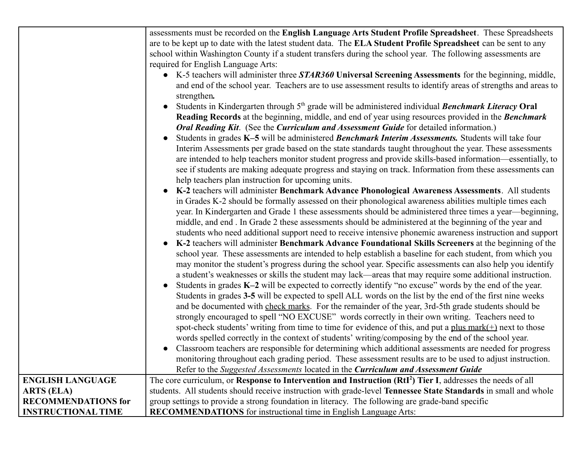|                            | assessments must be recorded on the English Language Arts Student Profile Spreadsheet. These Spreadsheets<br>are to be kept up to date with the latest student data. The ELA Student Profile Spreadsheet can be sent to any<br>school within Washington County if a student transfers during the school year. The following assessments are<br>required for English Language Arts:<br>• K-5 teachers will administer three <b>STAR360</b> Universal Screening Assessments for the beginning, middle,<br>and end of the school year. Teachers are to use assessment results to identify areas of strengths and areas to<br>strengthen.<br>Students in Kindergarten through $5th$ grade will be administered individual Benchmark Literacy Oral<br>Reading Records at the beginning, middle, and end of year using resources provided in the Benchmark<br>Oral Reading Kit. (See the Curriculum and Assessment Guide for detailed information.)<br>Students in grades K-5 will be administered Benchmark Interim Assessments. Students will take four<br>Interim Assessments per grade based on the state standards taught throughout the year. These assessments<br>are intended to help teachers monitor student progress and provide skills-based information—essentially, to<br>see if students are making adequate progress and staying on track. Information from these assessments can<br>help teachers plan instruction for upcoming units.<br>K-2 teachers will administer Benchmark Advance Phonological Awareness Assessments. All students<br>in Grades K-2 should be formally assessed on their phonological awareness abilities multiple times each<br>year. In Kindergarten and Grade 1 these assessments should be administered three times a year—beginning,<br>middle, and end. In Grade 2 these assessments should be administered at the beginning of the year and<br>students who need additional support need to receive intensive phonemic awareness instruction and support<br>K-2 teachers will administer Benchmark Advance Foundational Skills Screeners at the beginning of the<br>school year. These assessments are intended to help establish a baseline for each student, from which you<br>may monitor the student's progress during the school year. Specific assessments can also help you identify<br>a student's weaknesses or skills the student may lack—areas that may require some additional instruction.<br>Students in grades K-2 will be expected to correctly identify "no excuse" words by the end of the year.<br>Students in grades 3-5 will be expected to spell ALL words on the list by the end of the first nine weeks<br>and be documented with check marks. For the remainder of the year, 3rd-5th grade students should be<br>strongly encouraged to spell "NO EXCUSE" words correctly in their own writing. Teachers need to<br>spot-check students' writing from time to time for evidence of this, and put a plus $mark(+)$ next to those<br>words spelled correctly in the context of students' writing/composing by the end of the school year.<br>Classroom teachers are responsible for determining which additional assessments are needed for progress<br>monitoring throughout each grading period. These assessment results are to be used to adjust instruction.<br>Refer to the Suggested Assessments located in the Curriculum and Assessment Guide |
|----------------------------|-------------------------------------------------------------------------------------------------------------------------------------------------------------------------------------------------------------------------------------------------------------------------------------------------------------------------------------------------------------------------------------------------------------------------------------------------------------------------------------------------------------------------------------------------------------------------------------------------------------------------------------------------------------------------------------------------------------------------------------------------------------------------------------------------------------------------------------------------------------------------------------------------------------------------------------------------------------------------------------------------------------------------------------------------------------------------------------------------------------------------------------------------------------------------------------------------------------------------------------------------------------------------------------------------------------------------------------------------------------------------------------------------------------------------------------------------------------------------------------------------------------------------------------------------------------------------------------------------------------------------------------------------------------------------------------------------------------------------------------------------------------------------------------------------------------------------------------------------------------------------------------------------------------------------------------------------------------------------------------------------------------------------------------------------------------------------------------------------------------------------------------------------------------------------------------------------------------------------------------------------------------------------------------------------------------------------------------------------------------------------------------------------------------------------------------------------------------------------------------------------------------------------------------------------------------------------------------------------------------------------------------------------------------------------------------------------------------------------------------------------------------------------------------------------------------------------------------------------------------------------------------------------------------------------------------------------------------------------------------------------------------------------------------------------------------------------------------------------------------------------------------------------------------------------------------------------------------------------------------------------------------------------------------------------------------------------------------------------------------------------------------------------------------------------|
| <b>ENGLISH LANGUAGE</b>    | The core curriculum, or Response to Intervention and Instruction (RtI <sup>2</sup> ) Tier I, addresses the needs of all                                                                                                                                                                                                                                                                                                                                                                                                                                                                                                                                                                                                                                                                                                                                                                                                                                                                                                                                                                                                                                                                                                                                                                                                                                                                                                                                                                                                                                                                                                                                                                                                                                                                                                                                                                                                                                                                                                                                                                                                                                                                                                                                                                                                                                                                                                                                                                                                                                                                                                                                                                                                                                                                                                                                                                                                                                                                                                                                                                                                                                                                                                                                                                                                                                                                                                 |
| <b>ARTS (ELA)</b>          | students. All students should receive instruction with grade-level Tennessee State Standards in small and whole                                                                                                                                                                                                                                                                                                                                                                                                                                                                                                                                                                                                                                                                                                                                                                                                                                                                                                                                                                                                                                                                                                                                                                                                                                                                                                                                                                                                                                                                                                                                                                                                                                                                                                                                                                                                                                                                                                                                                                                                                                                                                                                                                                                                                                                                                                                                                                                                                                                                                                                                                                                                                                                                                                                                                                                                                                                                                                                                                                                                                                                                                                                                                                                                                                                                                                         |
| <b>RECOMMENDATIONS for</b> | group settings to provide a strong foundation in literacy. The following are grade-band specific                                                                                                                                                                                                                                                                                                                                                                                                                                                                                                                                                                                                                                                                                                                                                                                                                                                                                                                                                                                                                                                                                                                                                                                                                                                                                                                                                                                                                                                                                                                                                                                                                                                                                                                                                                                                                                                                                                                                                                                                                                                                                                                                                                                                                                                                                                                                                                                                                                                                                                                                                                                                                                                                                                                                                                                                                                                                                                                                                                                                                                                                                                                                                                                                                                                                                                                        |
|                            |                                                                                                                                                                                                                                                                                                                                                                                                                                                                                                                                                                                                                                                                                                                                                                                                                                                                                                                                                                                                                                                                                                                                                                                                                                                                                                                                                                                                                                                                                                                                                                                                                                                                                                                                                                                                                                                                                                                                                                                                                                                                                                                                                                                                                                                                                                                                                                                                                                                                                                                                                                                                                                                                                                                                                                                                                                                                                                                                                                                                                                                                                                                                                                                                                                                                                                                                                                                                                         |
| <b>INSTRUCTIONAL TIME</b>  | <b>RECOMMENDATIONS</b> for instructional time in English Language Arts:                                                                                                                                                                                                                                                                                                                                                                                                                                                                                                                                                                                                                                                                                                                                                                                                                                                                                                                                                                                                                                                                                                                                                                                                                                                                                                                                                                                                                                                                                                                                                                                                                                                                                                                                                                                                                                                                                                                                                                                                                                                                                                                                                                                                                                                                                                                                                                                                                                                                                                                                                                                                                                                                                                                                                                                                                                                                                                                                                                                                                                                                                                                                                                                                                                                                                                                                                 |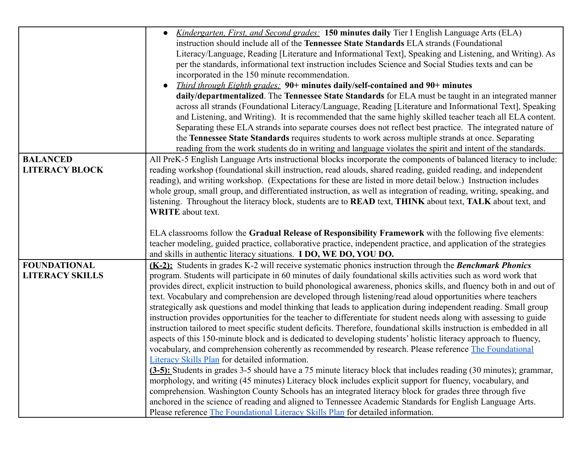|                                          | <i>Kindergarten, First, and Second grades:</i> 150 minutes daily Tier I English Language Arts (ELA)<br>$\bullet$                                                                                                                                                                                                                                                                                                                                                                                                                                                                                                                             |
|------------------------------------------|----------------------------------------------------------------------------------------------------------------------------------------------------------------------------------------------------------------------------------------------------------------------------------------------------------------------------------------------------------------------------------------------------------------------------------------------------------------------------------------------------------------------------------------------------------------------------------------------------------------------------------------------|
|                                          | instruction should include all of the Tennessee State Standards ELA strands (Foundational                                                                                                                                                                                                                                                                                                                                                                                                                                                                                                                                                    |
|                                          | Literacy/Language, Reading [Literature and Informational Text], Speaking and Listening, and Writing). As                                                                                                                                                                                                                                                                                                                                                                                                                                                                                                                                     |
|                                          | per the standards, informational text instruction includes Science and Social Studies texts and can be                                                                                                                                                                                                                                                                                                                                                                                                                                                                                                                                       |
|                                          | incorporated in the 150 minute recommendation.                                                                                                                                                                                                                                                                                                                                                                                                                                                                                                                                                                                               |
|                                          | <i>Third through Eighth grades:</i> 90+ minutes daily/self-contained and 90+ minutes<br>$\bullet$                                                                                                                                                                                                                                                                                                                                                                                                                                                                                                                                            |
|                                          | daily/departmentalized. The Tennessee State Standards for ELA must be taught in an integrated manner                                                                                                                                                                                                                                                                                                                                                                                                                                                                                                                                         |
|                                          | across all strands (Foundational Literacy/Language, Reading [Literature and Informational Text], Speaking                                                                                                                                                                                                                                                                                                                                                                                                                                                                                                                                    |
|                                          | and Listening, and Writing). It is recommended that the same highly skilled teacher teach all ELA content.                                                                                                                                                                                                                                                                                                                                                                                                                                                                                                                                   |
|                                          | Separating these ELA strands into separate courses does not reflect best practice. The integrated nature of                                                                                                                                                                                                                                                                                                                                                                                                                                                                                                                                  |
|                                          | the Tennessee State Standards requires students to work across multiple strands at once. Separating                                                                                                                                                                                                                                                                                                                                                                                                                                                                                                                                          |
|                                          | reading from the work students do in writing and language violates the spirit and intent of the standards.                                                                                                                                                                                                                                                                                                                                                                                                                                                                                                                                   |
| <b>BALANCED</b><br><b>LITERACY BLOCK</b> | All PreK-5 English Language Arts instructional blocks incorporate the components of balanced literacy to include:<br>reading workshop (foundational skill instruction, read alouds, shared reading, guided reading, and independent<br>reading), and writing workshop. (Expectations for these are listed in more detail below.) Instruction includes<br>whole group, small group, and differentiated instruction, as well as integration of reading, writing, speaking, and<br>listening. Throughout the literacy block, students are to <b>READ</b> text, <b>THINK</b> about text, <b>TALK</b> about text, and<br><b>WRITE</b> about text. |
|                                          |                                                                                                                                                                                                                                                                                                                                                                                                                                                                                                                                                                                                                                              |
|                                          | ELA classrooms follow the Gradual Release of Responsibility Framework with the following five elements:<br>teacher modeling, guided practice, collaborative practice, independent practice, and application of the strategies                                                                                                                                                                                                                                                                                                                                                                                                                |
|                                          | and skills in authentic literacy situations. <b>I DO, WE DO, YOU DO.</b>                                                                                                                                                                                                                                                                                                                                                                                                                                                                                                                                                                     |
| <b>FOUNDATIONAL</b>                      | (K-2): Students in grades K-2 will receive systematic phonics instruction through the Benchmark Phonics                                                                                                                                                                                                                                                                                                                                                                                                                                                                                                                                      |
| <b>LITERACY SKILLS</b>                   | program. Students will participate in 60 minutes of daily foundational skills activities such as word work that                                                                                                                                                                                                                                                                                                                                                                                                                                                                                                                              |
|                                          | provides direct, explicit instruction to build phonological awareness, phonics skills, and fluency both in and out of<br>text. Vocabulary and comprehension are developed through listening/read aloud opportunities where teachers                                                                                                                                                                                                                                                                                                                                                                                                          |
|                                          | strategically ask questions and model thinking that leads to application during independent reading. Small group                                                                                                                                                                                                                                                                                                                                                                                                                                                                                                                             |
|                                          | instruction provides opportunities for the teacher to differentiate for student needs along with assessing to guide                                                                                                                                                                                                                                                                                                                                                                                                                                                                                                                          |
|                                          | instruction tailored to meet specific student deficits. Therefore, foundational skills instruction is embedded in all                                                                                                                                                                                                                                                                                                                                                                                                                                                                                                                        |
|                                          | aspects of this 150-minute block and is dedicated to developing students' holistic literacy approach to fluency,                                                                                                                                                                                                                                                                                                                                                                                                                                                                                                                             |
|                                          | vocabulary, and comprehension coherently as recommended by research. Please reference The Foundational                                                                                                                                                                                                                                                                                                                                                                                                                                                                                                                                       |
|                                          | Literacy Skills Plan for detailed information.                                                                                                                                                                                                                                                                                                                                                                                                                                                                                                                                                                                               |
|                                          | (3-5): Students in grades 3-5 should have a 75 minute literacy block that includes reading (30 minutes); grammar,                                                                                                                                                                                                                                                                                                                                                                                                                                                                                                                            |
|                                          | morphology, and writing (45 minutes) Literacy block includes explicit support for fluency, vocabulary, and                                                                                                                                                                                                                                                                                                                                                                                                                                                                                                                                   |
|                                          | comprehension. Washington County Schools has an integrated literacy block for grades three through five                                                                                                                                                                                                                                                                                                                                                                                                                                                                                                                                      |
|                                          | anchored in the science of reading and aligned to Tennessee Academic Standards for English Language Arts.<br>Please reference The Foundational Literacy Skills Plan for detailed information.                                                                                                                                                                                                                                                                                                                                                                                                                                                |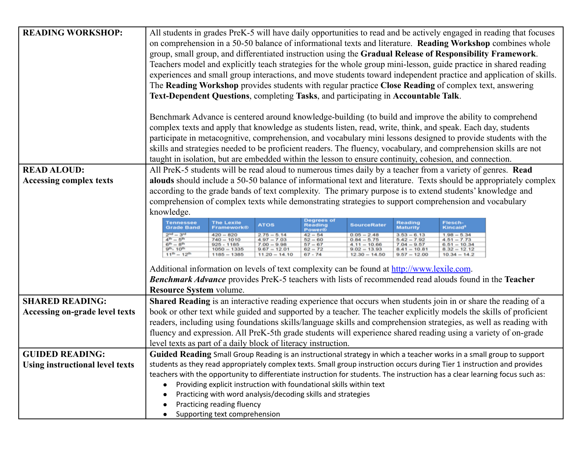| <b>READING WORKSHOP:</b>               | All students in grades PreK-5 will have daily opportunities to read and be actively engaged in reading that focuses<br>on comprehension in a 50-50 balance of informational texts and literature. Reading Workshop combines whole                                                                                                                                                         |  |  |  |  |  |  |
|----------------------------------------|-------------------------------------------------------------------------------------------------------------------------------------------------------------------------------------------------------------------------------------------------------------------------------------------------------------------------------------------------------------------------------------------|--|--|--|--|--|--|
|                                        | group, small group, and differentiated instruction using the Gradual Release of Responsibility Framework.                                                                                                                                                                                                                                                                                 |  |  |  |  |  |  |
|                                        | Teachers model and explicitly teach strategies for the whole group mini-lesson, guide practice in shared reading                                                                                                                                                                                                                                                                          |  |  |  |  |  |  |
|                                        | experiences and small group interactions, and move students toward independent practice and application of skills.                                                                                                                                                                                                                                                                        |  |  |  |  |  |  |
|                                        | The Reading Workshop provides students with regular practice Close Reading of complex text, answering<br>Text-Dependent Questions, completing Tasks, and participating in Accountable Talk.                                                                                                                                                                                               |  |  |  |  |  |  |
|                                        |                                                                                                                                                                                                                                                                                                                                                                                           |  |  |  |  |  |  |
|                                        | Benchmark Advance is centered around knowledge-building (to build and improve the ability to comprehend                                                                                                                                                                                                                                                                                   |  |  |  |  |  |  |
|                                        | complex texts and apply that knowledge as students listen, read, write, think, and speak. Each day, students                                                                                                                                                                                                                                                                              |  |  |  |  |  |  |
|                                        | participate in metacognitive, comprehension, and vocabulary mini lessons designed to provide students with the                                                                                                                                                                                                                                                                            |  |  |  |  |  |  |
|                                        | skills and strategies needed to be proficient readers. The fluency, vocabulary, and comprehension skills are not                                                                                                                                                                                                                                                                          |  |  |  |  |  |  |
|                                        | taught in isolation, but are embedded within the lesson to ensure continuity, cohesion, and connection.                                                                                                                                                                                                                                                                                   |  |  |  |  |  |  |
| <b>READ ALOUD:</b>                     | All PreK-5 students will be read aloud to numerous times daily by a teacher from a variety of genres. Read                                                                                                                                                                                                                                                                                |  |  |  |  |  |  |
| <b>Accessing complex texts</b>         | alouds should include a 50-50 balance of informational text and literature. Texts should be appropriately complex                                                                                                                                                                                                                                                                         |  |  |  |  |  |  |
|                                        | according to the grade bands of text complexity. The primary purpose is to extend students' knowledge and                                                                                                                                                                                                                                                                                 |  |  |  |  |  |  |
|                                        | comprehension of complex texts while demonstrating strategies to support comprehension and vocabulary                                                                                                                                                                                                                                                                                     |  |  |  |  |  |  |
|                                        | knowledge.<br>Degrees of                                                                                                                                                                                                                                                                                                                                                                  |  |  |  |  |  |  |
|                                        | Tennessee<br><b>The Lexile</b><br><b>Reading</b><br>Maturity<br>Flesch-<br><b>ATOS</b><br><b>Reading</b><br><b>SourceRater</b><br><b>Grade Band</b><br><b>Kincaid</b> <sup>8</sup><br>Framework®<br>Power®                                                                                                                                                                                |  |  |  |  |  |  |
|                                        | $2nd = 3rd$<br>$4th = 6th$<br>$42 - 54$<br>$0.05 - 2.48$<br>$3.53 - 6.13$<br>$420 - 820$<br>$2.75 - 5.14$<br>$4.97 - 7.03$<br>$1.98 - 5.34$<br>$4.51 - 7.73$<br>$0.84 - 5.75$<br>$5.42 - 7.92$<br>$740 - 1010$<br>$52 - 60$                                                                                                                                                               |  |  |  |  |  |  |
|                                        | $6^{th} - 8^{th}$<br>$67 - 67$<br>$6.61 - 10.34$<br>$8.32 - 12.12$<br>$925 - 1185$<br>$1050 = 1335$<br>$7.00 - 9.98$<br>$7.04 - 9.57$<br>$8.41 - 10.81$<br>$4.11 - 10.66$<br>$9^{\rm{th}} - 10^{\rm{th}}$<br>$9.67 = 12.01$<br>$62 - 72$<br>$9.02 - 13.93$<br>$11^{th} - 12^{th}$<br>$9.57 - 12.00$<br>$1185 - 1385$<br>$11.20 - 14.10$<br>$67 - 74$<br>$12.30 - 14.50$<br>$10.34 - 14.2$ |  |  |  |  |  |  |
|                                        |                                                                                                                                                                                                                                                                                                                                                                                           |  |  |  |  |  |  |
|                                        | Additional information on levels of text complexity can be found at http://www.lexile.com.                                                                                                                                                                                                                                                                                                |  |  |  |  |  |  |
|                                        | <b>Benchmark Advance</b> provides PreK-5 teachers with lists of recommended read alouds found in the Teacher                                                                                                                                                                                                                                                                              |  |  |  |  |  |  |
|                                        | <b>Resource System volume.</b>                                                                                                                                                                                                                                                                                                                                                            |  |  |  |  |  |  |
| <b>SHARED READING:</b>                 | Shared Reading is an interactive reading experience that occurs when students join in or share the reading of a                                                                                                                                                                                                                                                                           |  |  |  |  |  |  |
| <b>Accessing on-grade level texts</b>  | book or other text while guided and supported by a teacher. The teacher explicitly models the skills of proficient                                                                                                                                                                                                                                                                        |  |  |  |  |  |  |
|                                        | readers, including using foundations skills/language skills and comprehension strategies, as well as reading with<br>fluency and expression. All PreK-5th grade students will experience shared reading using a variety of on-grade                                                                                                                                                       |  |  |  |  |  |  |
|                                        | level texts as part of a daily block of literacy instruction.                                                                                                                                                                                                                                                                                                                             |  |  |  |  |  |  |
| <b>GUIDED READING:</b>                 | Guided Reading Small Group Reading is an instructional strategy in which a teacher works in a small group to support                                                                                                                                                                                                                                                                      |  |  |  |  |  |  |
| <b>Using instructional level texts</b> | students as they read appropriately complex texts. Small group instruction occurs during Tier 1 instruction and provides                                                                                                                                                                                                                                                                  |  |  |  |  |  |  |
|                                        | teachers with the opportunity to differentiate instruction for students. The instruction has a clear learning focus such as:                                                                                                                                                                                                                                                              |  |  |  |  |  |  |
|                                        | Providing explicit instruction with foundational skills within text<br>$\bullet$                                                                                                                                                                                                                                                                                                          |  |  |  |  |  |  |
|                                        | Practicing with word analysis/decoding skills and strategies                                                                                                                                                                                                                                                                                                                              |  |  |  |  |  |  |
|                                        | Practicing reading fluency                                                                                                                                                                                                                                                                                                                                                                |  |  |  |  |  |  |
|                                        | Supporting text comprehension<br>$\bullet$                                                                                                                                                                                                                                                                                                                                                |  |  |  |  |  |  |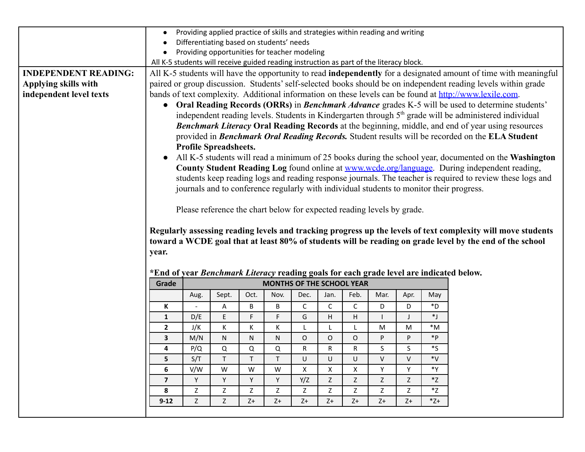|                             | Providing applied practice of skills and strategies within reading and writing<br>Differentiating based on students' needs |                                                                                                                             |                                                                        |      |      |      |              |              |      |      |                  |                                                                                                                    |
|-----------------------------|----------------------------------------------------------------------------------------------------------------------------|-----------------------------------------------------------------------------------------------------------------------------|------------------------------------------------------------------------|------|------|------|--------------|--------------|------|------|------------------|--------------------------------------------------------------------------------------------------------------------|
|                             | Providing opportunities for teacher modeling                                                                               |                                                                                                                             |                                                                        |      |      |      |              |              |      |      |                  |                                                                                                                    |
|                             | All K-5 students will receive guided reading instruction as part of the literacy block.                                    |                                                                                                                             |                                                                        |      |      |      |              |              |      |      |                  |                                                                                                                    |
| <b>INDEPENDENT READING:</b> |                                                                                                                            |                                                                                                                             |                                                                        |      |      |      |              |              |      |      |                  | All K-5 students will have the opportunity to read independently for a designated amount of time with meaningful   |
| Applying skills with        |                                                                                                                            | paired or group discussion. Students' self-selected books should be on independent reading levels within grade              |                                                                        |      |      |      |              |              |      |      |                  |                                                                                                                    |
| independent level texts     |                                                                                                                            | bands of text complexity. Additional information on these levels can be found at http://www.lexile.com.                     |                                                                        |      |      |      |              |              |      |      |                  |                                                                                                                    |
|                             |                                                                                                                            | • Oral Reading Records (ORRs) in <i>Benchmark Advance</i> grades K-5 will be used to determine students'                    |                                                                        |      |      |      |              |              |      |      |                  |                                                                                                                    |
|                             |                                                                                                                            |                                                                                                                             |                                                                        |      |      |      |              |              |      |      |                  | independent reading levels. Students in Kindergarten through 5 <sup>th</sup> grade will be administered individual |
|                             |                                                                                                                            |                                                                                                                             |                                                                        |      |      |      |              |              |      |      |                  | <b>Benchmark Literacy Oral Reading Records</b> at the beginning, middle, and end of year using resources           |
|                             |                                                                                                                            |                                                                                                                             |                                                                        |      |      |      |              |              |      |      |                  | provided in Benchmark Oral Reading Records. Student results will be recorded on the ELA Student                    |
|                             |                                                                                                                            |                                                                                                                             | <b>Profile Spreadsheets.</b>                                           |      |      |      |              |              |      |      |                  |                                                                                                                    |
|                             |                                                                                                                            |                                                                                                                             |                                                                        |      |      |      |              |              |      |      |                  | All K-5 students will read a minimum of 25 books during the school year, documented on the Washington              |
|                             |                                                                                                                            |                                                                                                                             |                                                                        |      |      |      |              |              |      |      |                  | County Student Reading Log found online at www.wcde.org/language. During independent reading,                      |
|                             |                                                                                                                            |                                                                                                                             |                                                                        |      |      |      |              |              |      |      |                  | students keep reading logs and reading response journals. The teacher is required to review these logs and         |
|                             |                                                                                                                            |                                                                                                                             |                                                                        |      |      |      |              |              |      |      |                  | journals and to conference regularly with individual students to monitor their progress.                           |
|                             |                                                                                                                            |                                                                                                                             |                                                                        |      |      |      |              |              |      |      |                  |                                                                                                                    |
|                             |                                                                                                                            |                                                                                                                             | Please reference the chart below for expected reading levels by grade. |      |      |      |              |              |      |      |                  |                                                                                                                    |
|                             |                                                                                                                            |                                                                                                                             |                                                                        |      |      |      |              |              |      |      |                  |                                                                                                                    |
|                             |                                                                                                                            |                                                                                                                             |                                                                        |      |      |      |              |              |      |      |                  | Regularly assessing reading levels and tracking progress up the levels of text complexity will move students       |
|                             |                                                                                                                            |                                                                                                                             |                                                                        |      |      |      |              |              |      |      |                  | toward a WCDE goal that at least 80% of students will be reading on grade level by the end of the school           |
|                             | year.                                                                                                                      |                                                                                                                             |                                                                        |      |      |      |              |              |      |      |                  |                                                                                                                    |
|                             |                                                                                                                            |                                                                                                                             |                                                                        |      |      |      |              |              |      |      |                  |                                                                                                                    |
|                             |                                                                                                                            | *End of year Benchmark Literacy reading goals for each grade level are indicated below.<br><b>MONTHS OF THE SCHOOL YEAR</b> |                                                                        |      |      |      |              |              |      |      |                  |                                                                                                                    |
|                             | Grade                                                                                                                      |                                                                                                                             |                                                                        |      |      |      |              |              |      |      |                  |                                                                                                                    |
|                             |                                                                                                                            | Aug.                                                                                                                        | Sept.                                                                  | Oct. | Nov. | Dec. | Jan.         | Feb.         | Mar. | Apr. | May              |                                                                                                                    |
|                             | К                                                                                                                          | $\blacksquare$                                                                                                              | Α                                                                      | B    | B    | C    | $\mathsf C$  | $\mathsf C$  | D    | D    | $\,{}^*D$        |                                                                                                                    |
|                             | $\mathbf{1}$                                                                                                               | D/E                                                                                                                         | E                                                                      | F.   | F    | G    | $\mathsf{H}$ | H            |      | J    | $\ast$ J         |                                                                                                                    |
|                             | $\mathbf{2}$                                                                                                               | J/K                                                                                                                         | Κ                                                                      | К    | K    | L    | L            | L            | M    | M    | $*M$             |                                                                                                                    |
|                             | 3                                                                                                                          | M/N                                                                                                                         | N                                                                      | N    | N    | O    | O            | O            | P    | P    | $*p$             |                                                                                                                    |
|                             | 4                                                                                                                          | P/Q                                                                                                                         | Q                                                                      | Q    | Q    | R    | R            | R            | S    | S    | ${}^*\mathsf{S}$ |                                                                                                                    |
|                             | 5                                                                                                                          | S/T                                                                                                                         |                                                                        |      |      | U    | U            | U            | V    | v    | *V               |                                                                                                                    |
|                             | 6                                                                                                                          | V/W                                                                                                                         | W                                                                      | W    | W    | X    | $\mathsf{X}$ | $\mathsf{X}$ | Y    | Y    | *Y               |                                                                                                                    |
|                             | $\overline{7}$                                                                                                             | Y                                                                                                                           | Y.                                                                     | Y    | Y    | Y/Z  | Z            | Z            | Z    | Z    | *Z               |                                                                                                                    |
|                             | 8                                                                                                                          | Z                                                                                                                           | Z                                                                      | Z    | Ζ    | Z    | Z            | Z            | Z    | Ζ    | *Z<br>$Z^*$      |                                                                                                                    |
|                             | $9 - 12$                                                                                                                   | Z                                                                                                                           | Z                                                                      | Z+   | $Z+$ | $Z+$ | $Z+$         | Z+           | $Z+$ | $Z+$ |                  |                                                                                                                    |
|                             |                                                                                                                            |                                                                                                                             |                                                                        |      |      |      |              |              |      |      |                  |                                                                                                                    |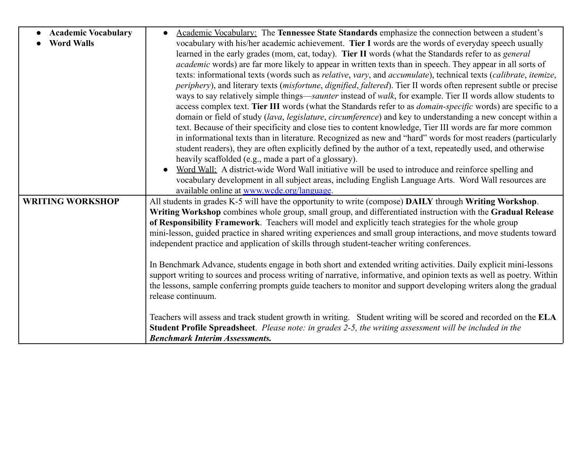| <b>Academic Vocabulary</b> | Academic Vocabulary: The Tennessee State Standards emphasize the connection between a student's<br>$\bullet$                                             |
|----------------------------|----------------------------------------------------------------------------------------------------------------------------------------------------------|
| <b>Word Walls</b>          | vocabulary with his/her academic achievement. Tier I words are the words of everyday speech usually                                                      |
|                            | learned in the early grades (mom, cat, today). Tier II words (what the Standards refer to as general                                                     |
|                            | <i>academic</i> words) are far more likely to appear in written texts than in speech. They appear in all sorts of                                        |
|                            | texts: informational texts (words such as <i>relative</i> , <i>vary</i> , and <i>accumulate</i> ), technical texts ( <i>calibrate</i> , <i>itemize</i> , |
|                            | periphery), and literary texts (misfortune, dignified, faltered). Tier II words often represent subtle or precise                                        |
|                            | ways to say relatively simple things—saunter instead of walk, for example. Tier II words allow students to                                               |
|                            | access complex text. Tier III words (what the Standards refer to as <i>domain-specific</i> words) are specific to a                                      |
|                            | domain or field of study (lava, legislature, circumference) and key to understanding a new concept within a                                              |
|                            | text. Because of their specificity and close ties to content knowledge, Tier III words are far more common                                               |
|                            | in informational texts than in literature. Recognized as new and "hard" words for most readers (particularly                                             |
|                            | student readers), they are often explicitly defined by the author of a text, repeatedly used, and otherwise                                              |
|                            | heavily scaffolded (e.g., made a part of a glossary).                                                                                                    |
|                            | Word Wall: A district-wide Word Wall initiative will be used to introduce and reinforce spelling and                                                     |
|                            | vocabulary development in all subject areas, including English Language Arts. Word Wall resources are                                                    |
|                            | available online at www.wcde.org/language.                                                                                                               |
| <b>WRITING WORKSHOP</b>    | All students in grades K-5 will have the opportunity to write (compose) DAILY through Writing Workshop.                                                  |
|                            | Writing Workshop combines whole group, small group, and differentiated instruction with the Gradual Release                                              |
|                            | of Responsibility Framework. Teachers will model and explicitly teach strategies for the whole group                                                     |
|                            | mini-lesson, guided practice in shared writing experiences and small group interactions, and move students toward                                        |
|                            | independent practice and application of skills through student-teacher writing conferences.                                                              |
|                            |                                                                                                                                                          |
|                            | In Benchmark Advance, students engage in both short and extended writing activities. Daily explicit mini-lessons                                         |
|                            | support writing to sources and process writing of narrative, informative, and opinion texts as well as poetry. Within                                    |
|                            | the lessons, sample conferring prompts guide teachers to monitor and support developing writers along the gradual                                        |
|                            | release continuum.                                                                                                                                       |
|                            |                                                                                                                                                          |
|                            | Teachers will assess and track student growth in writing. Student writing will be scored and recorded on the ELA                                         |
|                            | Student Profile Spreadsheet. Please note: in grades 2-5, the writing assessment will be included in the                                                  |
|                            | <b>Benchmark Interim Assessments.</b>                                                                                                                    |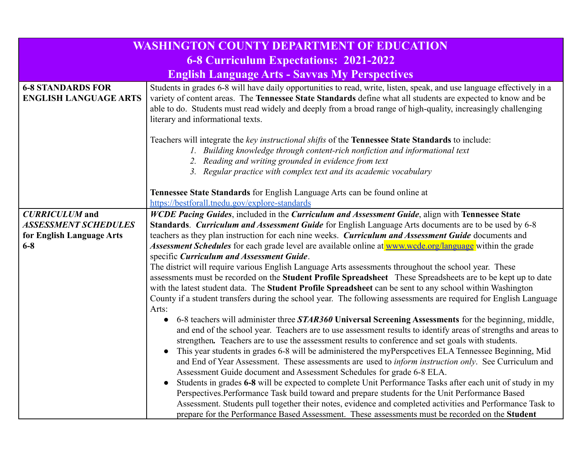| WASHINGTON COUNTY DEPARTMENT OF EDUCATION                                                    |                                                                                                                                                                                                                                                                                                                                                                                                                                                                                                                                                                                                                                                                                                                                                                                                                                                                                                                                                                                                                                                                                                                                                                                                                                                                                                                                                                                                                                                                                                                                                                                                                                                                                                                                                                                                                                                                                                                                                                                                                                                                                                          |  |  |  |  |
|----------------------------------------------------------------------------------------------|----------------------------------------------------------------------------------------------------------------------------------------------------------------------------------------------------------------------------------------------------------------------------------------------------------------------------------------------------------------------------------------------------------------------------------------------------------------------------------------------------------------------------------------------------------------------------------------------------------------------------------------------------------------------------------------------------------------------------------------------------------------------------------------------------------------------------------------------------------------------------------------------------------------------------------------------------------------------------------------------------------------------------------------------------------------------------------------------------------------------------------------------------------------------------------------------------------------------------------------------------------------------------------------------------------------------------------------------------------------------------------------------------------------------------------------------------------------------------------------------------------------------------------------------------------------------------------------------------------------------------------------------------------------------------------------------------------------------------------------------------------------------------------------------------------------------------------------------------------------------------------------------------------------------------------------------------------------------------------------------------------------------------------------------------------------------------------------------------------|--|--|--|--|
| <b>6-8 Curriculum Expectations: 2021-2022</b>                                                |                                                                                                                                                                                                                                                                                                                                                                                                                                                                                                                                                                                                                                                                                                                                                                                                                                                                                                                                                                                                                                                                                                                                                                                                                                                                                                                                                                                                                                                                                                                                                                                                                                                                                                                                                                                                                                                                                                                                                                                                                                                                                                          |  |  |  |  |
|                                                                                              | <b>English Language Arts - Savvas My Perspectives</b>                                                                                                                                                                                                                                                                                                                                                                                                                                                                                                                                                                                                                                                                                                                                                                                                                                                                                                                                                                                                                                                                                                                                                                                                                                                                                                                                                                                                                                                                                                                                                                                                                                                                                                                                                                                                                                                                                                                                                                                                                                                    |  |  |  |  |
| <b>6-8 STANDARDS FOR</b><br><b>ENGLISH LANGUAGE ARTS</b>                                     | Students in grades 6-8 will have daily opportunities to read, write, listen, speak, and use language effectively in a<br>variety of content areas. The Tennessee State Standards define what all students are expected to know and be<br>able to do. Students must read widely and deeply from a broad range of high-quality, increasingly challenging<br>literary and informational texts.                                                                                                                                                                                                                                                                                                                                                                                                                                                                                                                                                                                                                                                                                                                                                                                                                                                                                                                                                                                                                                                                                                                                                                                                                                                                                                                                                                                                                                                                                                                                                                                                                                                                                                              |  |  |  |  |
|                                                                                              | Teachers will integrate the key instructional shifts of the Tennessee State Standards to include:<br>1. Building knowledge through content-rich nonfiction and informational text<br>2. Reading and writing grounded in evidence from text<br>3. Regular practice with complex text and its academic vocabulary                                                                                                                                                                                                                                                                                                                                                                                                                                                                                                                                                                                                                                                                                                                                                                                                                                                                                                                                                                                                                                                                                                                                                                                                                                                                                                                                                                                                                                                                                                                                                                                                                                                                                                                                                                                          |  |  |  |  |
|                                                                                              | Tennessee State Standards for English Language Arts can be found online at                                                                                                                                                                                                                                                                                                                                                                                                                                                                                                                                                                                                                                                                                                                                                                                                                                                                                                                                                                                                                                                                                                                                                                                                                                                                                                                                                                                                                                                                                                                                                                                                                                                                                                                                                                                                                                                                                                                                                                                                                               |  |  |  |  |
| <b>CURRICULUM</b> and<br><b>ASSESSMENT SCHEDULES</b><br>for English Language Arts<br>$6 - 8$ | https://bestforall.tnedu.gov/explore-standards<br>WCDE Pacing Guides, included in the Curriculum and Assessment Guide, align with Tennessee State<br>Standards. Curriculum and Assessment Guide for English Language Arts documents are to be used by 6-8<br>teachers as they plan instruction for each nine weeks. Curriculum and Assessment Guide documents and<br>Assessment Schedules for each grade level are available online at www.wcde.org/language within the grade<br>specific Curriculum and Assessment Guide.<br>The district will require various English Language Arts assessments throughout the school year. These<br>assessments must be recorded on the Student Profile Spreadsheet These Spreadsheets are to be kept up to date<br>with the latest student data. The Student Profile Spreadsheet can be sent to any school within Washington<br>County if a student transfers during the school year. The following assessments are required for English Language<br>Arts:<br>6-8 teachers will administer three STAR360 Universal Screening Assessments for the beginning, middle,<br>$\bullet$<br>and end of the school year. Teachers are to use assessment results to identify areas of strengths and areas to<br>strengthen. Teachers are to use the assessment results to conference and set goals with students.<br>This year students in grades 6-8 will be administered the myPerspectives ELA Tennessee Beginning, Mid<br>$\bullet$<br>and End of Year Assessment. These assessments are used to <i>inform instruction only</i> . See Curriculum and<br>Assessment Guide document and Assessment Schedules for grade 6-8 ELA.<br>Students in grades 6-8 will be expected to complete Unit Performance Tasks after each unit of study in my<br>$\bullet$<br>Perspectives. Performance Task build toward and prepare students for the Unit Performance Based<br>Assessment. Students pull together their notes, evidence and completed activities and Performance Task to<br>prepare for the Performance Based Assessment. These assessments must be recorded on the Student |  |  |  |  |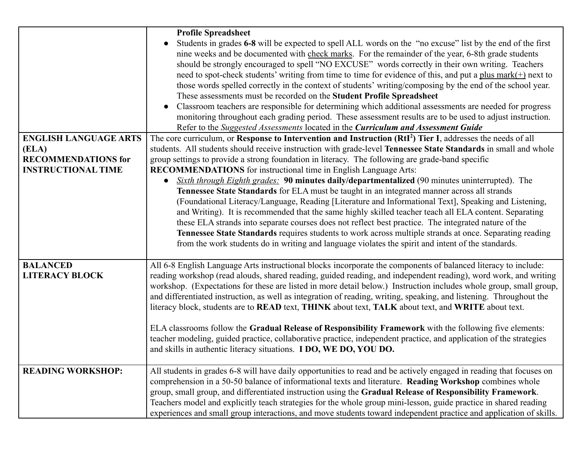|                                                                                                  | <b>Profile Spreadsheet</b><br>Students in grades 6-8 will be expected to spell ALL words on the "no excuse" list by the end of the first<br>nine weeks and be documented with check marks. For the remainder of the year, 6-8th grade students<br>should be strongly encouraged to spell "NO EXCUSE" words correctly in their own writing. Teachers<br>need to spot-check students' writing from time to time for evidence of this, and put a plus mark $(+)$ next to<br>those words spelled correctly in the context of students' writing/composing by the end of the school year.<br>These assessments must be recorded on the Student Profile Spreadsheet<br>Classroom teachers are responsible for determining which additional assessments are needed for progress<br>monitoring throughout each grading period. These assessment results are to be used to adjust instruction.<br>Refer to the Suggested Assessments located in the Curriculum and Assessment Guide                                                                                                                                                                                                     |
|--------------------------------------------------------------------------------------------------|-------------------------------------------------------------------------------------------------------------------------------------------------------------------------------------------------------------------------------------------------------------------------------------------------------------------------------------------------------------------------------------------------------------------------------------------------------------------------------------------------------------------------------------------------------------------------------------------------------------------------------------------------------------------------------------------------------------------------------------------------------------------------------------------------------------------------------------------------------------------------------------------------------------------------------------------------------------------------------------------------------------------------------------------------------------------------------------------------------------------------------------------------------------------------------|
| <b>ENGLISH LANGUAGE ARTS</b><br>(ELA)<br><b>RECOMMENDATIONS for</b><br><b>INSTRUCTIONAL TIME</b> | The core curriculum, or Response to Intervention and Instruction (RtI <sup>2</sup> ) Tier I, addresses the needs of all<br>students. All students should receive instruction with grade-level Tennessee State Standards in small and whole<br>group settings to provide a strong foundation in literacy. The following are grade-band specific<br><b>RECOMMENDATIONS</b> for instructional time in English Language Arts:<br><i>Sixth through Eighth grades:</i> 90 minutes daily/departmentalized (90 minutes uninterrupted). The<br>Tennessee State Standards for ELA must be taught in an integrated manner across all strands<br>(Foundational Literacy/Language, Reading [Literature and Informational Text], Speaking and Listening,<br>and Writing). It is recommended that the same highly skilled teacher teach all ELA content. Separating<br>these ELA strands into separate courses does not reflect best practice. The integrated nature of the<br>Tennessee State Standards requires students to work across multiple strands at once. Separating reading<br>from the work students do in writing and language violates the spirit and intent of the standards. |
| <b>BALANCED</b><br><b>LITERACY BLOCK</b>                                                         | All 6-8 English Language Arts instructional blocks incorporate the components of balanced literacy to include:<br>reading workshop (read alouds, shared reading, guided reading, and independent reading), word work, and writing<br>workshop. (Expectations for these are listed in more detail below.) Instruction includes whole group, small group,<br>and differentiated instruction, as well as integration of reading, writing, speaking, and listening. Throughout the<br>literacy block, students are to READ text, THINK about text, TALK about text, and WRITE about text.<br>ELA classrooms follow the Gradual Release of Responsibility Framework with the following five elements:<br>teacher modeling, guided practice, collaborative practice, independent practice, and application of the strategies<br>and skills in authentic literacy situations. I DO, WE DO, YOU DO.                                                                                                                                                                                                                                                                                   |
| <b>READING WORKSHOP:</b>                                                                         | All students in grades 6-8 will have daily opportunities to read and be actively engaged in reading that focuses on<br>comprehension in a 50-50 balance of informational texts and literature. Reading Workshop combines whole<br>group, small group, and differentiated instruction using the Gradual Release of Responsibility Framework.<br>Teachers model and explicitly teach strategies for the whole group mini-lesson, guide practice in shared reading<br>experiences and small group interactions, and move students toward independent practice and application of skills.                                                                                                                                                                                                                                                                                                                                                                                                                                                                                                                                                                                         |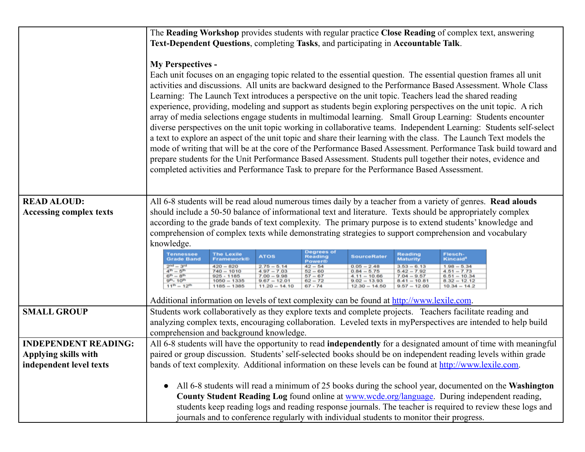|                                                                                | The Reading Workshop provides students with regular practice Close Reading of complex text, answering<br>Text-Dependent Questions, completing Tasks, and participating in Accountable Talk.                                                                                                                                                                                                                                                                                                                                                                                                                                                                                                                                                                                                                                                                                                                                                                                                                                                                                                                                                                                                                                                                                                                                                                                                                                                                           |  |  |  |  |  |  |
|--------------------------------------------------------------------------------|-----------------------------------------------------------------------------------------------------------------------------------------------------------------------------------------------------------------------------------------------------------------------------------------------------------------------------------------------------------------------------------------------------------------------------------------------------------------------------------------------------------------------------------------------------------------------------------------------------------------------------------------------------------------------------------------------------------------------------------------------------------------------------------------------------------------------------------------------------------------------------------------------------------------------------------------------------------------------------------------------------------------------------------------------------------------------------------------------------------------------------------------------------------------------------------------------------------------------------------------------------------------------------------------------------------------------------------------------------------------------------------------------------------------------------------------------------------------------|--|--|--|--|--|--|
|                                                                                | <b>My Perspectives -</b><br>Each unit focuses on an engaging topic related to the essential question. The essential question frames all unit<br>activities and discussions. All units are backward designed to the Performance Based Assessment. Whole Class<br>Learning: The Launch Text introduces a perspective on the unit topic. Teachers lead the shared reading<br>experience, providing, modeling and support as students begin exploring perspectives on the unit topic. A rich<br>array of media selections engage students in multimodal learning. Small Group Learning: Students encounter<br>diverse perspectives on the unit topic working in collaborative teams. Independent Learning: Students self-select<br>a text to explore an aspect of the unit topic and share their learning with the class. The Launch Text models the<br>mode of writing that will be at the core of the Performance Based Assessment. Performance Task build toward and<br>prepare students for the Unit Performance Based Assessment. Students pull together their notes, evidence and<br>completed activities and Performance Task to prepare for the Performance Based Assessment.                                                                                                                                                                                                                                                                                     |  |  |  |  |  |  |
| <b>READ ALOUD:</b><br><b>Accessing complex texts</b>                           | All 6-8 students will be read aloud numerous times daily by a teacher from a variety of genres. Read alouds<br>should include a 50-50 balance of informational text and literature. Texts should be appropriately complex<br>according to the grade bands of text complexity. The primary purpose is to extend students' knowledge and<br>comprehension of complex texts while demonstrating strategies to support comprehension and vocabulary<br>knowledge.<br>Degrees of<br><b>Tennessee</b><br><b>Flesch-</b><br><b>The Lexile</b><br>Reading<br><b>ATOS</b><br><b>Reading</b><br><b>SourceRater</b><br><b>Maturity</b><br><b>Kincaid</b> <sup>®</sup><br><b>Grade Band</b><br>Framework®<br>Power®<br>$42 - 64$<br>$\begin{array}{l} 2^{nd} - 3^{rd} \\ 4^{th} - 6^{th} \\ 6^{th} - 8^{th} \\ \end{array}$<br>$2.75 - 5.14$<br>4.97 - 7.03<br>7.00 - 9.98<br>$0.05 - 2.48$<br>$3.53 - 6.13$<br>$420 - 820$<br>$1.98 - 5.34$<br>$62 - 60$<br>$67 - 67$<br>$62 - 72$<br>$0.84 - 5.75$<br>$5.42 - 7.92$<br>$7.04 - 9.57$<br>$740 - 1010$<br>$4.51 - 7.73$<br>$925 - 1185$<br>$6.61 - 10.34$<br>$4.11 - 10.66$<br>$9^{\rm{th}} - 10^{\rm{th}}$<br>$1050 - 1335$<br>$9.67 = 12.01$<br>$9.02 - 13.93$<br>$8.32 - 12.12$<br>$8.41 - 10.81$<br>$11^{th} - 12^{th}$<br>$67 - 74$<br>$1185 - 1385$<br>$11.20 - 14.10$<br>$12.30 - 14.50$<br>$9.57 - 12.00$<br>$10.34 - 14.2$<br>Additional information on levels of text complexity can be found at http://www.lexile.com. |  |  |  |  |  |  |
| <b>SMALL GROUP</b>                                                             | Students work collaboratively as they explore texts and complete projects. Teachers facilitate reading and<br>analyzing complex texts, encouraging collaboration. Leveled texts in myPerspectives are intended to help build<br>comprehension and background knowledge.                                                                                                                                                                                                                                                                                                                                                                                                                                                                                                                                                                                                                                                                                                                                                                                                                                                                                                                                                                                                                                                                                                                                                                                               |  |  |  |  |  |  |
| <b>INDEPENDENT READING:</b><br>Applying skills with<br>independent level texts | All 6-8 students will have the opportunity to read independently for a designated amount of time with meaningful<br>paired or group discussion. Students' self-selected books should be on independent reading levels within grade<br>bands of text complexity. Additional information on these levels can be found at http://www.lexile.com.<br>All 6-8 students will read a minimum of 25 books during the school year, documented on the Washington<br>$\bullet$<br>County Student Reading Log found online at www.wcde.org/language. During independent reading,                                                                                                                                                                                                                                                                                                                                                                                                                                                                                                                                                                                                                                                                                                                                                                                                                                                                                                  |  |  |  |  |  |  |
|                                                                                | students keep reading logs and reading response journals. The teacher is required to review these logs and<br>journals and to conference regularly with individual students to monitor their progress.                                                                                                                                                                                                                                                                                                                                                                                                                                                                                                                                                                                                                                                                                                                                                                                                                                                                                                                                                                                                                                                                                                                                                                                                                                                                |  |  |  |  |  |  |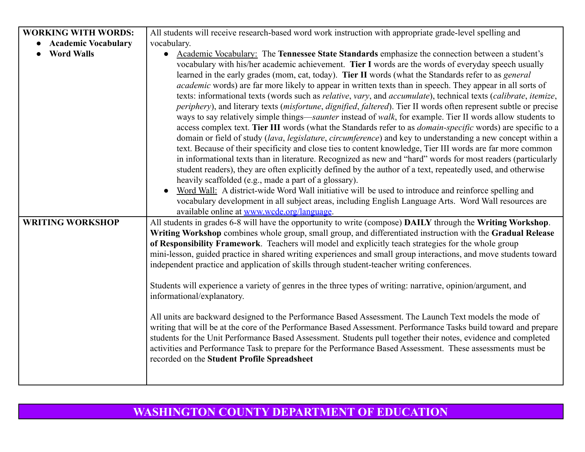| <b>WORKING WITH WORDS:</b>                   | All students will receive research-based word work instruction with appropriate grade-level spelling and                                                                                                                                                                                                                                                                                                                                                                                                                                                                                                                                                                                                                                                                                                                                                                                                                                                                                                                                                                                                                                                                                                                                                                                                                                                                                                                                                                                                                                                                                                                                                                                                                                                                                                                                                                                                                                               |
|----------------------------------------------|--------------------------------------------------------------------------------------------------------------------------------------------------------------------------------------------------------------------------------------------------------------------------------------------------------------------------------------------------------------------------------------------------------------------------------------------------------------------------------------------------------------------------------------------------------------------------------------------------------------------------------------------------------------------------------------------------------------------------------------------------------------------------------------------------------------------------------------------------------------------------------------------------------------------------------------------------------------------------------------------------------------------------------------------------------------------------------------------------------------------------------------------------------------------------------------------------------------------------------------------------------------------------------------------------------------------------------------------------------------------------------------------------------------------------------------------------------------------------------------------------------------------------------------------------------------------------------------------------------------------------------------------------------------------------------------------------------------------------------------------------------------------------------------------------------------------------------------------------------------------------------------------------------------------------------------------------------|
| • Academic Vocabulary                        | vocabulary.                                                                                                                                                                                                                                                                                                                                                                                                                                                                                                                                                                                                                                                                                                                                                                                                                                                                                                                                                                                                                                                                                                                                                                                                                                                                                                                                                                                                                                                                                                                                                                                                                                                                                                                                                                                                                                                                                                                                            |
| <b>Word Walls</b><br><b>WRITING WORKSHOP</b> | Academic Vocabulary: The Tennessee State Standards emphasize the connection between a student's<br>$\bullet$<br>vocabulary with his/her academic achievement. Tier I words are the words of everyday speech usually<br>learned in the early grades (mom, cat, today). Tier II words (what the Standards refer to as <i>general</i><br><i>academic</i> words) are far more likely to appear in written texts than in speech. They appear in all sorts of<br>texts: informational texts (words such as relative, vary, and accumulate), technical texts (calibrate, itemize,<br>periphery), and literary texts (misfortune, dignified, faltered). Tier II words often represent subtle or precise<br>ways to say relatively simple things—saunter instead of walk, for example. Tier II words allow students to<br>access complex text. Tier III words (what the Standards refer to as <i>domain-specific</i> words) are specific to a<br>domain or field of study (lava, legislature, circumference) and key to understanding a new concept within a<br>text. Because of their specificity and close ties to content knowledge, Tier III words are far more common<br>in informational texts than in literature. Recognized as new and "hard" words for most readers (particularly<br>student readers), they are often explicitly defined by the author of a text, repeatedly used, and otherwise<br>heavily scaffolded (e.g., made a part of a glossary).<br>Word Wall: A district-wide Word Wall initiative will be used to introduce and reinforce spelling and<br>vocabulary development in all subject areas, including English Language Arts. Word Wall resources are<br>available online at www.wcde.org/language.<br>All students in grades 6-8 will have the opportunity to write (compose) DAILY through the Writing Workshop.<br>Writing Workshop combines whole group, small group, and differentiated instruction with the Gradual Release |
|                                              | of Responsibility Framework. Teachers will model and explicitly teach strategies for the whole group<br>mini-lesson, guided practice in shared writing experiences and small group interactions, and move students toward<br>independent practice and application of skills through student-teacher writing conferences.<br>Students will experience a variety of genres in the three types of writing: narrative, opinion/argument, and<br>informational/explanatory.<br>All units are backward designed to the Performance Based Assessment. The Launch Text models the mode of<br>writing that will be at the core of the Performance Based Assessment. Performance Tasks build toward and prepare<br>students for the Unit Performance Based Assessment. Students pull together their notes, evidence and completed<br>activities and Performance Task to prepare for the Performance Based Assessment. These assessments must be<br>recorded on the Student Profile Spreadsheet                                                                                                                                                                                                                                                                                                                                                                                                                                                                                                                                                                                                                                                                                                                                                                                                                                                                                                                                                                   |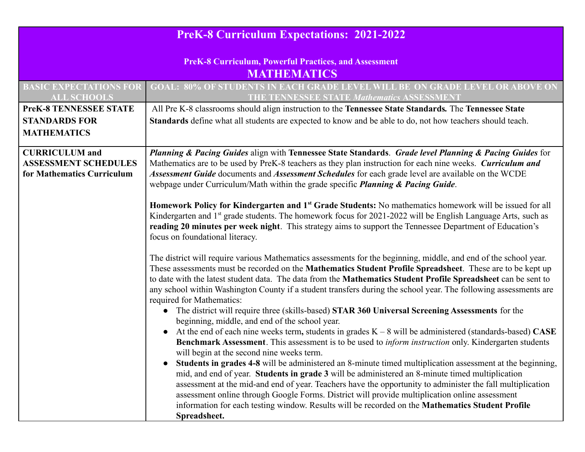| <b>PreK-8 Curriculum Expectations: 2021-2022</b>                                   |                                                                                                                                                                                                                                                                                                                                                                                                                                                                                                                                                  |  |  |  |
|------------------------------------------------------------------------------------|--------------------------------------------------------------------------------------------------------------------------------------------------------------------------------------------------------------------------------------------------------------------------------------------------------------------------------------------------------------------------------------------------------------------------------------------------------------------------------------------------------------------------------------------------|--|--|--|
| <b>PreK-8 Curriculum, Powerful Practices, and Assessment</b><br><b>MATHEMATICS</b> |                                                                                                                                                                                                                                                                                                                                                                                                                                                                                                                                                  |  |  |  |
| <b>BASIC EXPECTATIONS FOR</b><br><b>ALL SCHOOLS</b>                                | <b>GOAL: 80% OF STUDENTS IN EACH GRADE LEVEL WILL BE ON GRADE LEVEL OR ABOVE ON</b><br><b>THE TENNESSEE STATE Mathematics ASSESSMENT</b>                                                                                                                                                                                                                                                                                                                                                                                                         |  |  |  |
| <b>PreK-8 TENNESSEE STATE</b><br><b>STANDARDS FOR</b><br><b>MATHEMATICS</b>        | All Pre K-8 classrooms should align instruction to the Tennessee State Standards. The Tennessee State<br>Standards define what all students are expected to know and be able to do, not how teachers should teach.                                                                                                                                                                                                                                                                                                                               |  |  |  |
| <b>CURRICULUM</b> and<br><b>ASSESSMENT SCHEDULES</b><br>for Mathematics Curriculum | Planning & Pacing Guides align with Tennessee State Standards. Grade level Planning & Pacing Guides for<br>Mathematics are to be used by PreK-8 teachers as they plan instruction for each nine weeks. Curriculum and<br>Assessment Guide documents and Assessment Schedules for each grade level are available on the WCDE<br>webpage under Curriculum/Math within the grade specific <i>Planning &amp; Pacing Guide</i> .                                                                                                                      |  |  |  |
|                                                                                    | Homework Policy for Kindergarten and 1 <sup>st</sup> Grade Students: No mathematics homework will be issued for all<br>Kindergarten and 1 <sup>st</sup> grade students. The homework focus for 2021-2022 will be English Language Arts, such as<br>reading 20 minutes per week night. This strategy aims to support the Tennessee Department of Education's<br>focus on foundational literacy.                                                                                                                                                   |  |  |  |
|                                                                                    | The district will require various Mathematics assessments for the beginning, middle, and end of the school year.<br>These assessments must be recorded on the Mathematics Student Profile Spreadsheet. These are to be kept up<br>to date with the latest student data. The data from the Mathematics Student Profile Spreadsheet can be sent to<br>any school within Washington County if a student transfers during the school year. The following assessments are<br>required for Mathematics:                                                |  |  |  |
|                                                                                    | The district will require three (skills-based) STAR 360 Universal Screening Assessments for the<br>beginning, middle, and end of the school year.<br>At the end of each nine weeks term, students in grades $K - 8$ will be administered (standards-based) CASE<br><b>Benchmark Assessment</b> . This assessment is to be used to <i>inform instruction</i> only. Kindergarten students<br>will begin at the second nine weeks term.                                                                                                             |  |  |  |
|                                                                                    | Students in grades 4-8 will be administered an 8-minute timed multiplication assessment at the beginning,<br>mid, and end of year. Students in grade 3 will be administered an 8-minute timed multiplication<br>assessment at the mid-and end of year. Teachers have the opportunity to administer the fall multiplication<br>assessment online through Google Forms. District will provide multiplication online assessment<br>information for each testing window. Results will be recorded on the Mathematics Student Profile<br>Spreadsheet. |  |  |  |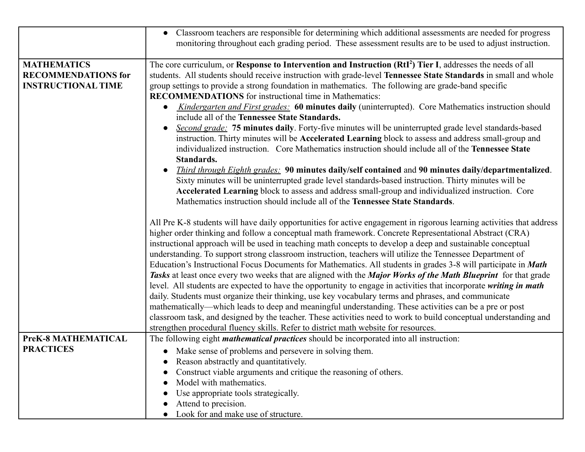|                                                                               | • Classroom teachers are responsible for determining which additional assessments are needed for progress<br>monitoring throughout each grading period. These assessment results are to be used to adjust instruction.                                                                                                                                                                                                                                                                                                                                                                                                                                                                                                                                                                                                                                                                                                                                                                                                                                               |
|-------------------------------------------------------------------------------|----------------------------------------------------------------------------------------------------------------------------------------------------------------------------------------------------------------------------------------------------------------------------------------------------------------------------------------------------------------------------------------------------------------------------------------------------------------------------------------------------------------------------------------------------------------------------------------------------------------------------------------------------------------------------------------------------------------------------------------------------------------------------------------------------------------------------------------------------------------------------------------------------------------------------------------------------------------------------------------------------------------------------------------------------------------------|
| <b>MATHEMATICS</b><br><b>RECOMMENDATIONS for</b><br><b>INSTRUCTIONAL TIME</b> | The core curriculum, or Response to Intervention and Instruction (RtI <sup>2</sup> ) Tier I, addresses the needs of all<br>students. All students should receive instruction with grade-level Tennessee State Standards in small and whole<br>group settings to provide a strong foundation in mathematics. The following are grade-band specific<br><b>RECOMMENDATIONS</b> for instructional time in Mathematics:<br>Kindergarten and First grades: 60 minutes daily (uninterrupted). Core Mathematics instruction should<br>$\bullet$<br>include all of the Tennessee State Standards.<br>Second grade: 75 minutes daily. Forty-five minutes will be uninterrupted grade level standards-based<br>$\bullet$<br>instruction. Thirty minutes will be Accelerated Learning block to assess and address small-group and<br>individualized instruction. Core Mathematics instruction should include all of the Tennessee State<br>Standards.<br><b>Third through Eighth grades: 90 minutes daily/self contained and 90 minutes daily/departmentalized.</b><br>$\bullet$ |
|                                                                               | Sixty minutes will be uninterrupted grade level standards-based instruction. Thirty minutes will be<br>Accelerated Learning block to assess and address small-group and individualized instruction. Core<br>Mathematics instruction should include all of the Tennessee State Standards.<br>All Pre K-8 students will have daily opportunities for active engagement in rigorous learning activities that address<br>higher order thinking and follow a conceptual math framework. Concrete Representational Abstract (CRA)                                                                                                                                                                                                                                                                                                                                                                                                                                                                                                                                          |
|                                                                               | instructional approach will be used in teaching math concepts to develop a deep and sustainable conceptual<br>understanding. To support strong classroom instruction, teachers will utilize the Tennessee Department of<br>Education's Instructional Focus Documents for Mathematics. All students in grades 3-8 will participate in <i>Math</i><br>Tasks at least once every two weeks that are aligned with the Major Works of the Math Blueprint for that grade<br>level. All students are expected to have the opportunity to engage in activities that incorporate writing in math<br>daily. Students must organize their thinking, use key vocabulary terms and phrases, and communicate<br>mathematically—which leads to deep and meaningful understanding. These activities can be a pre or post<br>classroom task, and designed by the teacher. These activities need to work to build conceptual understanding and<br>strengthen procedural fluency skills. Refer to district math website for resources.                                                  |
| PreK-8 MATHEMATICAL                                                           | The following eight <i>mathematical practices</i> should be incorporated into all instruction:                                                                                                                                                                                                                                                                                                                                                                                                                                                                                                                                                                                                                                                                                                                                                                                                                                                                                                                                                                       |
| <b>PRACTICES</b>                                                              | • Make sense of problems and persevere in solving them.<br>Reason abstractly and quantitatively.                                                                                                                                                                                                                                                                                                                                                                                                                                                                                                                                                                                                                                                                                                                                                                                                                                                                                                                                                                     |
|                                                                               | Construct viable arguments and critique the reasoning of others.                                                                                                                                                                                                                                                                                                                                                                                                                                                                                                                                                                                                                                                                                                                                                                                                                                                                                                                                                                                                     |
|                                                                               | Model with mathematics.<br>Use appropriate tools strategically.                                                                                                                                                                                                                                                                                                                                                                                                                                                                                                                                                                                                                                                                                                                                                                                                                                                                                                                                                                                                      |
|                                                                               | Attend to precision.<br>Look for and make use of structure.                                                                                                                                                                                                                                                                                                                                                                                                                                                                                                                                                                                                                                                                                                                                                                                                                                                                                                                                                                                                          |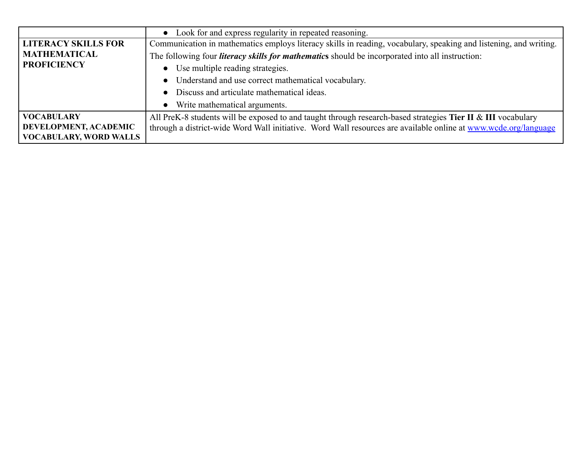|                                           | Look for and express regularity in repeated reasoning.                                                            |
|-------------------------------------------|-------------------------------------------------------------------------------------------------------------------|
| <b>LITERACY SKILLS FOR</b>                | Communication in mathematics employs literacy skills in reading, vocabulary, speaking and listening, and writing. |
| <b>MATHEMATICAL</b><br><b>PROFICIENCY</b> | The following four <i>literacy skills for mathematics</i> should be incorporated into all instruction:            |
|                                           | Use multiple reading strategies.<br>$\bullet$                                                                     |
|                                           | Understand and use correct mathematical vocabulary.                                                               |
|                                           | Discuss and articulate mathematical ideas.                                                                        |
|                                           | Write mathematical arguments.                                                                                     |
| <b>VOCABULARY</b>                         | All PreK-8 students will be exposed to and taught through research-based strategies Tier II & III vocabulary      |
| DEVELOPMENT, ACADEMIC                     | through a district-wide Word Wall initiative. Word Wall resources are available online at www.wcde.org/language   |
| <b>VOCABULARY, WORD WALLS</b>             |                                                                                                                   |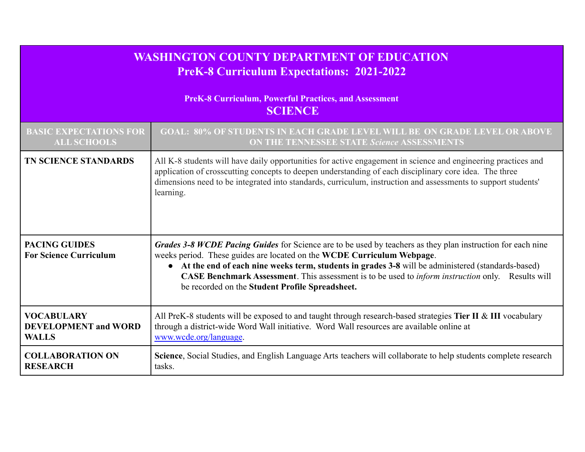| WASHINGTON COUNTY DEPARTMENT OF EDUCATION<br><b>PreK-8 Curriculum Expectations: 2021-2022</b><br><b>PreK-8 Curriculum, Powerful Practices, and Assessment</b><br><b>SCIENCE</b> |                                                                                                                                                                                                                                                                                                                                                                                                                                                                     |  |
|---------------------------------------------------------------------------------------------------------------------------------------------------------------------------------|---------------------------------------------------------------------------------------------------------------------------------------------------------------------------------------------------------------------------------------------------------------------------------------------------------------------------------------------------------------------------------------------------------------------------------------------------------------------|--|
|                                                                                                                                                                                 |                                                                                                                                                                                                                                                                                                                                                                                                                                                                     |  |
| <b>ALL SCHOOLS</b>                                                                                                                                                              | <b>ON THE TENNESSEE STATE Science ASSESSMENTS</b>                                                                                                                                                                                                                                                                                                                                                                                                                   |  |
| <b>TN SCIENCE STANDARDS</b>                                                                                                                                                     | All K-8 students will have daily opportunities for active engagement in science and engineering practices and<br>application of crosscutting concepts to deepen understanding of each disciplinary core idea. The three<br>dimensions need to be integrated into standards, curriculum, instruction and assessments to support students'<br>learning.                                                                                                               |  |
| <b>PACING GUIDES</b><br><b>For Science Curriculum</b>                                                                                                                           | Grades 3-8 WCDE Pacing Guides for Science are to be used by teachers as they plan instruction for each nine<br>weeks period. These guides are located on the WCDE Curriculum Webpage.<br>• At the end of each nine weeks term, students in grades 3-8 will be administered (standards-based)<br><b>CASE Benchmark Assessment</b> . This assessment is to be used to <i>inform instruction</i> only. Results will<br>be recorded on the Student Profile Spreadsheet. |  |
| <b>VOCABULARY</b>                                                                                                                                                               | All PreK-8 students will be exposed to and taught through research-based strategies Tier II & III vocabulary                                                                                                                                                                                                                                                                                                                                                        |  |
| <b>DEVELOPMENT</b> and WORD                                                                                                                                                     | through a district-wide Word Wall initiative. Word Wall resources are available online at                                                                                                                                                                                                                                                                                                                                                                           |  |
| <b>WALLS</b>                                                                                                                                                                    | www.wcde.org/language.                                                                                                                                                                                                                                                                                                                                                                                                                                              |  |
| <b>COLLABORATION ON</b>                                                                                                                                                         | Science, Social Studies, and English Language Arts teachers will collaborate to help students complete research                                                                                                                                                                                                                                                                                                                                                     |  |
| <b>RESEARCH</b>                                                                                                                                                                 | tasks.                                                                                                                                                                                                                                                                                                                                                                                                                                                              |  |